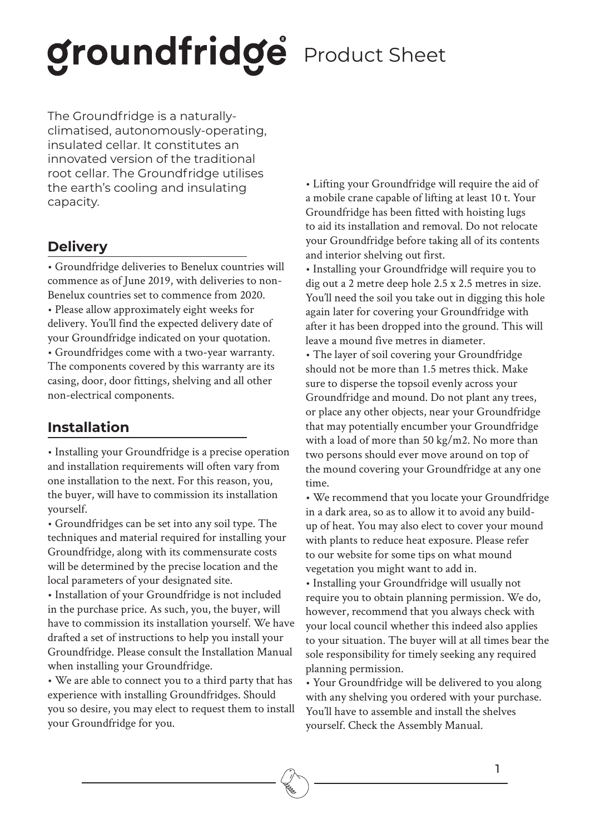### groundfridge Product Sheet

The Groundfridge is a naturallyclimatised, autonomously-operating, insulated cellar. It constitutes an innovated version of the traditional root cellar. The Groundfridge utilises the earth's cooling and insulating capacity.

### **Delivery**

• Groundfridge deliveries to Benelux countries will commence as of June 2019, with deliveries to non-Benelux countries set to commence from 2020. • Please allow approximately eight weeks for delivery. You'll find the expected delivery date of your Groundfridge indicated on your quotation. • Groundfridges come with a two-year warranty. The components covered by this warranty are its casing, door, door fittings, shelving and all other non-electrical components.

### **Installation**

• Installing your Groundfridge is a precise operation and installation requirements will often vary from one installation to the next. For this reason, you, the buyer, will have to commission its installation yourself.

• Groundfridges can be set into any soil type. The techniques and material required for installing your Groundfridge, along with its commensurate costs will be determined by the precise location and the local parameters of your designated site.

• Installation of your Groundfridge is not included in the purchase price. As such, you, the buyer, will have to commission its installation yourself. We have drafted a set of instructions to help you install your Groundfridge. Please consult the Installation Manual when installing your Groundfridge.

• We are able to connect you to a third party that has experience with installing Groundfridges. Should you so desire, you may elect to request them to install your Groundfridge for you.

• Lifting your Groundfridge will require the aid of a mobile crane capable of lifting at least 10 t. Your Groundfridge has been fitted with hoisting lugs to aid its installation and removal. Do not relocate your Groundfridge before taking all of its contents and interior shelving out first.

• Installing your Groundfridge will require you to dig out a 2 metre deep hole 2.5 x 2.5 metres in size. You'll need the soil you take out in digging this hole again later for covering your Groundfridge with after it has been dropped into the ground. This will leave a mound five metres in diameter.

• The layer of soil covering your Groundfridge should not be more than 1.5 metres thick. Make sure to disperse the topsoil evenly across your Groundfridge and mound. Do not plant any trees, or place any other objects, near your Groundfridge that may potentially encumber your Groundfridge with a load of more than 50 kg/m2. No more than two persons should ever move around on top of the mound covering your Groundfridge at any one time.

• We recommend that you locate your Groundfridge in a dark area, so as to allow it to avoid any buildup of heat. You may also elect to cover your mound with plants to reduce heat exposure. Please refer to our website for some tips on what mound vegetation you might want to add in.

• Installing your Groundfridge will usually not require you to obtain planning permission. We do, however, recommend that you always check with your local council whether this indeed also applies to your situation. The buyer will at all times bear the sole responsibility for timely seeking any required planning permission.

• Your Groundfridge will be delivered to you along with any shelving you ordered with your purchase. You'll have to assemble and install the shelves yourself. Check the Assembly Manual.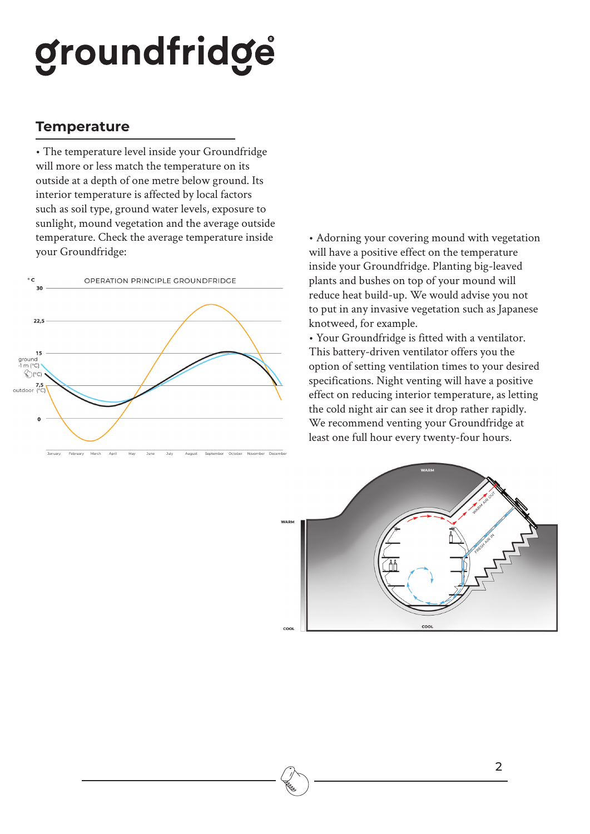## groundfridge

#### **Temperature**

• The temperature level inside your Groundfridge will more or less match the temperature on its outside at a depth of one metre below ground. Its interior temperature is affected by local factors such as soil type, ground water levels, exposure to sunlight, mound vegetation and the average outside temperature. Check the average temperature inside your Groundfridge:



• Adorning your covering mound with vegetation will have a positive effect on the temperature inside your Groundfridge. Planting big-leaved plants and bushes on top of your mound will reduce heat build-up. We would advise you not to put in any invasive vegetation such as Japanese knotweed, for example.

• Your Groundfridge is fitted with a ventilator. This battery-driven ventilator offers you the option of setting ventilation times to your desired specifications. Night venting will have a positive effect on reducing interior temperature, as letting the cold night air can see it drop rather rapidly. We recommend venting your Groundfridge at least one full hour every twenty-four hours.